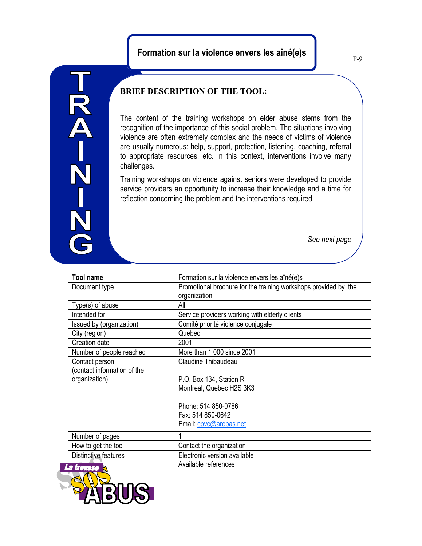## **Formation sur la violence envers les aîné(e)s**

N-Z-Z-N

**LETERATE** 

## **BRIEF DESCRIPTION OF THE TOOL:**

The content of the training workshops on elder abuse stems from the recognition of the importance of this social problem. The situations involving violence are often extremely complex and the needs of victims of violence are usually numerous: help, support, protection, listening, coaching, referral to appropriate resources, etc. In this context, interventions involve many challenges.

Training workshops on violence against seniors were developed to provide service providers an opportunity to increase their knowledge and a time for reflection concerning the problem and the interventions required.

*See next page*

| <b>Tool name</b>                              | Formation sur la violence envers les aîné(e)s                   |
|-----------------------------------------------|-----------------------------------------------------------------|
| Document type                                 | Promotional brochure for the training workshops provided by the |
| Type(s) of abuse                              | organization<br>All                                             |
| Intended for                                  | Service providers working with elderly clients                  |
| Issued by (organization)                      | Comité priorité violence conjugale                              |
| City (region)                                 | Quebec                                                          |
| Creation date                                 | 2001                                                            |
| Number of people reached                      | More than 1 000 since 2001                                      |
| Contact person<br>(contact information of the | Claudine Thibaudeau                                             |
| organization)                                 | P.O. Box 134, Station R                                         |
|                                               | Montreal, Quebec H2S 3K3                                        |
|                                               | Phone: 514 850-0786                                             |
|                                               | Fax: 514 850-0642                                               |
|                                               | Email: cpvc@arobas.net                                          |
| Number of pages                               |                                                                 |
| How to get the tool                           | Contact the organization                                        |
|                                               | Electronic version available                                    |
| Distinctive features                          |                                                                 |